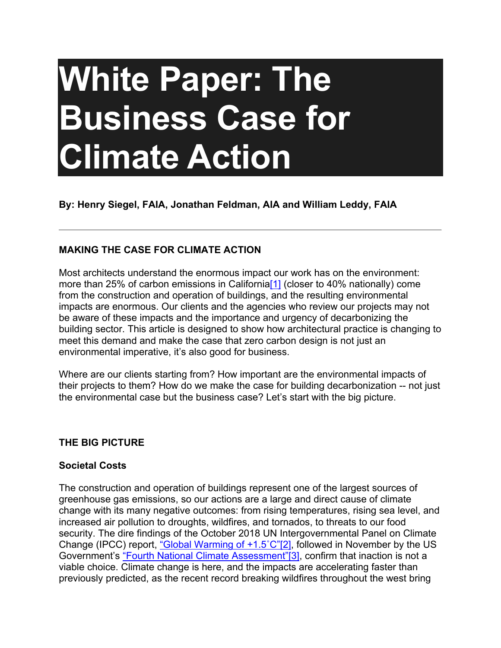# **White Paper: The Business Case for Climate Action**

**By: Henry Siegel, FAIA, Jonathan Feldman, AIA and William Leddy, FAIA**

# **MAKING THE CASE FOR CLIMATE ACTION**

<span id="page-0-0"></span>Most architects understand the enormous impact our work has on the environment: more than 25% of carbon emissions in California<sup>[1]</sup> (closer to 40% nationally) come from the construction and operation of buildings, and the resulting environmental impacts are enormous. Our clients and the agencies who review our projects may not be aware of these impacts and the importance and urgency of decarbonizing the building sector. This article is designed to show how architectural practice is changing to meet this demand and make the case that zero carbon design is not just an environmental imperative, it's also good for business.

Where are our clients starting from? How important are the environmental impacts of their projects to them? How do we make the case for building decarbonization -- not just the environmental case but the business case? Let's start with the big picture.

## **THE BIG PICTURE**

## **Societal Costs**

<span id="page-0-2"></span><span id="page-0-1"></span>The construction and operation of buildings represent one of the largest sources of greenhouse gas emissions, so our actions are a large and direct cause of climate change with its many negative outcomes: from rising temperatures, rising sea level, and increased air pollution to droughts, wildfires, and tornados, to threats to our food security. The dire findings of the October 2018 UN Intergovernmental Panel on Climate Change (IPCC) report, "Global Warming of +1.5°C"[\[2\],](#page-9-1) followed in November by the US Government's ["Fourth National Climate Assessment"](https://nca2018.globalchange.gov/)[\[3\],](#page-9-2) confirm that inaction is not a viable choice. Climate change is here, and the impacts are accelerating faster than previously predicted, as the recent record breaking wildfires throughout the west bring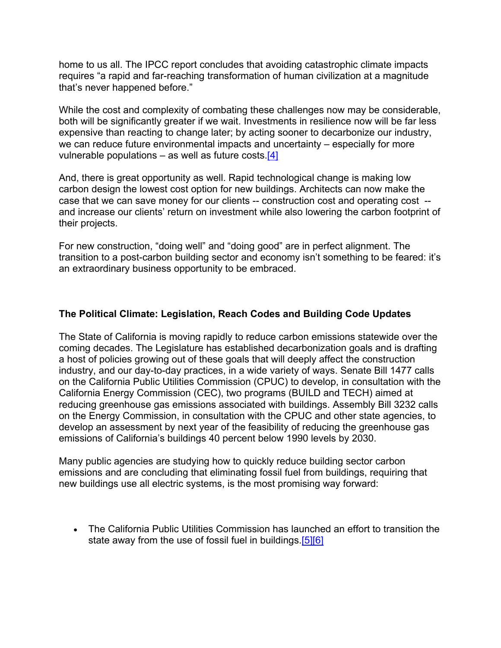home to us all. The IPCC report concludes that avoiding catastrophic climate impacts requires "a rapid and far-reaching transformation of human civilization at a magnitude that's never happened before."

While the cost and complexity of combating these challenges now may be considerable, both will be significantly greater if we wait. Investments in resilience now will be far less expensive than reacting to change later; by acting sooner to decarbonize our industry, we can reduce future environmental impacts and uncertainty – especially for more vulnerable populations – as well as future costs[.\[4\]](#page-9-3)

<span id="page-1-0"></span>And, there is great opportunity as well. Rapid technological change is making low carbon design the lowest cost option for new buildings. Architects can now make the case that we can save money for our clients -- construction cost and operating cost - and increase our clients' return on investment while also lowering the carbon footprint of their projects.

For new construction, "doing well" and "doing good" are in perfect alignment. The transition to a post-carbon building sector and economy isn't something to be feared: it's an extraordinary business opportunity to be embraced.

# **The Political Climate: Legislation, Reach Codes and Building Code Updates**

The State of California is moving rapidly to reduce carbon emissions statewide over the coming decades. The Legislature has established decarbonization goals and is drafting a host of policies growing out of these goals that will deeply affect the construction industry, and our day-to-day practices, in a wide variety of ways. Senate Bill 1477 calls on the California Public Utilities Commission (CPUC) to develop, in consultation with the California Energy Commission (CEC), two programs (BUILD and TECH) aimed at reducing greenhouse gas emissions associated with buildings. Assembly Bill 3232 calls on the Energy Commission, in consultation with the CPUC and other state agencies, to develop an assessment by next year of the feasibility of reducing the greenhouse gas emissions of California's buildings 40 percent below 1990 levels by 2030.

Many public agencies are studying how to quickly reduce building sector carbon emissions and are concluding that eliminating fossil fuel from buildings, requiring that new buildings use all electric systems, is the most promising way forward:

<span id="page-1-2"></span><span id="page-1-1"></span>• The California Public Utilities Commission has launched an effort to transition the state away from the use of fossil fuel in buildings[.\[5\]](#page-9-4)[\[6\]](#page-9-5)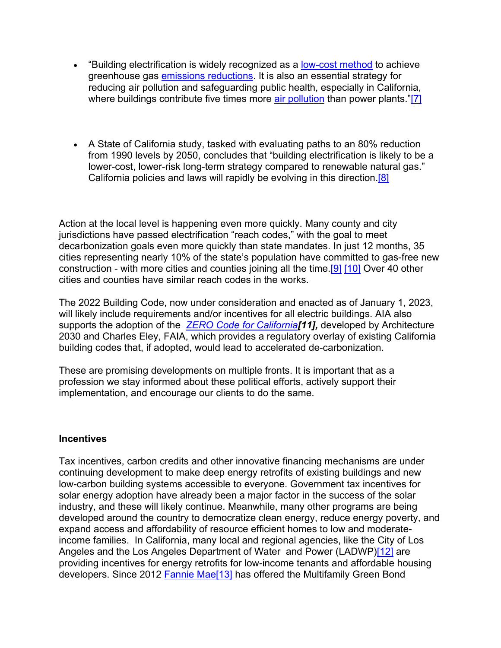- <span id="page-2-0"></span>• "Building electrification is widely recognized as a [low-cost method](https://www.ethree.com/wp-content/uploads/2018/06/Deep_Decarbonization_in_a_High_Renewables_Future_CEC-500-2018-012-1.pdf) to achieve greenhouse gas [emissions reductions.](https://rmi.org/insight/the-impact-of-fossil-fuels-in-buildings/) It is also an essential strategy for reducing air pollution and safeguarding public health, especially in California, where buildings contribute five times more [air pollution](https://ww3.arb.ca.gov/ei/emissiondata.htm) than power plants."[\[7\]](#page-9-6)
- <span id="page-2-1"></span>• A State of California study, tasked with evaluating paths to an 80% reduction from 1990 levels by 2050, concludes that "building electrification is likely to be a lower-cost, lower-risk long-term strategy compared to renewable natural gas." California policies and laws will rapidly be evolving in this direction.<sup>[8]</sup>

Action at the local level is happening even more quickly. Many county and city jurisdictions have passed electrification "reach codes," with the goal to meet decarbonization goals even more quickly than state mandates. In just 12 months, 35 cities representing nearly 10% of the state's population have committed to gas-free new construction - with more cities and counties joining all the time[.\[9\]](#page-9-8) [\[10\]](#page-9-9) Over 40 other cities and counties have similar reach codes in the works.

<span id="page-2-4"></span><span id="page-2-3"></span><span id="page-2-2"></span>The 2022 Building Code, now under consideration and enacted as of January 1, 2023, will likely include requirements and/or incentives for all electric buildings. AIA also supports the adoption of the *[ZERO Code for California](https://zero-code.org/)[\[11\],](#page-10-0)* developed by Architecture 2030 and Charles Eley, FAIA, which provides a regulatory overlay of existing California building codes that, if adopted, would lead to accelerated de-carbonization.

These are promising developments on multiple fronts. It is important that as a profession we stay informed about these political efforts, actively support their implementation, and encourage our clients to do the same.

## **Incentives**

<span id="page-2-6"></span><span id="page-2-5"></span>Tax incentives, carbon credits and other innovative financing mechanisms are under continuing development to make deep energy retrofits of existing buildings and new low-carbon building systems accessible to everyone. Government tax incentives for solar energy adoption have already been a major factor in the success of the solar industry, and these will likely continue. Meanwhile, many other programs are being developed around the country to democratize clean energy, reduce energy poverty, and expand access and affordability of resource efficient homes to low and moderateincome families. In California, many local and regional agencies, like the City of Los Angeles and the Los Angeles Department of Water and Power (LADWP[\)\[12\]](#page-10-1) are providing incentives for energy retrofits for low-income tenants and affordable housing developers. Since 2012 [Fannie Mae](http://www.fanniemae.com/portal/media/corporate-news/2019/green-bond-impact-report-6837.html)<sup>[\[13\]](#page-10-2)</sup> has offered the Multifamily Green Bond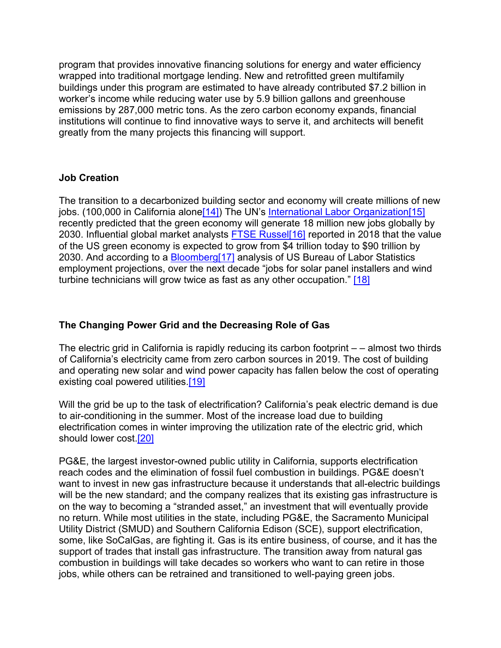program that provides innovative financing solutions for energy and water efficiency wrapped into traditional mortgage lending. New and retrofitted green multifamily buildings under this program are estimated to have already contributed \$7.2 billion in worker's income while reducing water use by 5.9 billion gallons and greenhouse emissions by 287,000 metric tons. As the zero carbon economy expands, financial institutions will continue to find innovative ways to serve it, and architects will benefit greatly from the many projects this financing will support.

## **Job Creation**

<span id="page-3-3"></span><span id="page-3-2"></span><span id="page-3-1"></span><span id="page-3-0"></span>The transition to a decarbonized building sector and economy will create millions of new jobs. (100,000 in California alone<sup>[14]</sup>) The UN's [International Labor Organization](https://www.ilo.org/weso-greening/#Intro-1)<sup>[\[15\]](#page-10-4)</sup> recently predicted that the green economy will generate 18 million new jobs globally by 2030. Influential global market analysts [FTSE Russel](https://unfccc.int/news/green-economy-overtaking-fossil-fuel-industry-ftse-russel-report)<sup>[\[16\]](#page-10-5)</sup> reported in 2018 that the value of the US green economy is expected to grow from \$4 trillion today to \$90 trillion by 2030. And according to a [Bloomberg](http://www.digitaljournal.com/business/labor-dept-renewable-energy-jobs-fastest-growing-sector-in-usa/article/506220)<sup>[\[17\]](#page-10-6)</sup> analysis of US Bureau of Labor Statistics employment projections, over the next decade "jobs for solar panel installers and wind turbine technicians will grow twice as fast as any other occupation." [\[18\]](#page-10-7)

## <span id="page-3-4"></span>**The Changing Power Grid and the Decreasing Role of Gas**

The electric grid in California is rapidly reducing its carbon footprint – – almost two thirds of California's electricity came from zero carbon sources in 2019. The cost of building and operating new solar and wind power capacity has fallen below the cost of operating existing coal powered utilities[.\[19\]](#page-10-8)

<span id="page-3-5"></span>Will the grid be up to the task of electrification? California's peak electric demand is due to air-conditioning in the summer. Most of the increase load due to building electrification comes in winter improving the utilization rate of the electric grid, which should lower cost[.\[20\]](#page-10-9)

<span id="page-3-6"></span>PG&E, the largest investor-owned public utility in California, supports electrification reach codes and the elimination of fossil fuel combustion in buildings. PG&E doesn't want to invest in new gas infrastructure because it understands that all-electric buildings will be the new standard; and the company realizes that its existing gas infrastructure is on the way to becoming a "stranded asset," an investment that will eventually provide no return. While most utilities in the state, including PG&E, the Sacramento Municipal Utility District (SMUD) and Southern California Edison (SCE), support electrification, some, like SoCalGas, are fighting it. Gas is its entire business, of course, and it has the support of trades that install gas infrastructure. The transition away from natural gas combustion in buildings will take decades so workers who want to can retire in those jobs, while others can be retrained and transitioned to well-paying green jobs.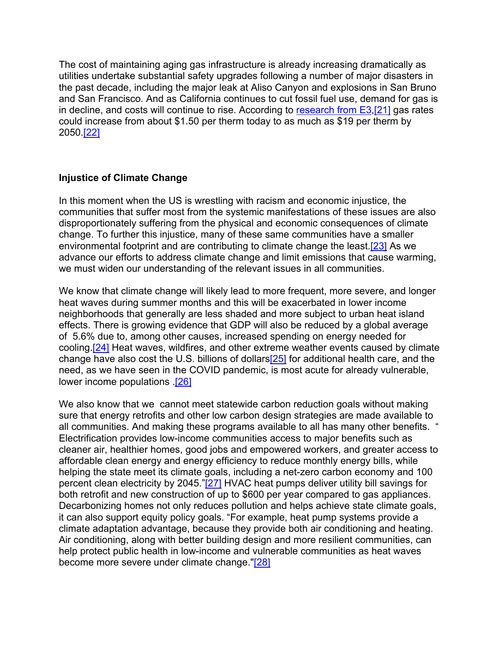<span id="page-4-0"></span>The cost of maintaining aging gas infrastructure is already increasing dramatically as utilities undertake substantial safety upgrades following a number of major disasters in the past decade, including the major leak at Aliso Canyon and explosions in San Bruno and San Francisco. And as California continues to cut fossil fuel use, demand for gas is in decline, and costs will continue to rise. According to [research from E3](https://gridworks.org/wp-content/uploads/2019/09/CA_Gas_System_in_Transition.pdf)[,\[21\]](#page-10-10) gas rates could increase from about \$1.50 per therm today to as much as \$19 per therm by 2050[.\[22\]](#page-10-11)

#### <span id="page-4-1"></span>**Injustice of Climate Change**

<span id="page-4-2"></span>In this moment when the US is wrestling with racism and economic injustice, the communities that suffer most from the systemic manifestations of these issues are also disproportionately suffering from the physical and economic consequences of climate change. To further this injustice, many of these same communities have a smaller environmental footprint and are contributing to climate change the least.<sup>[23]</sup> As we advance our efforts to address climate change and limit emissions that cause warming, we must widen our understanding of the relevant issues in all communities.

<span id="page-4-3"></span>We know that climate change will likely lead to more frequent, more severe, and longer heat waves during summer months and this will be exacerbated in lower income neighborhoods that generally are less shaded and more subject to urban heat island effects. There is growing evidence that GDP will also be reduced by a global average of 5.6% due to, among other causes, increased spending on energy needed for cooling[.\[24\]](#page-10-13) Heat waves, wildfires, and other extreme weather events caused by climate change have also cost the U.S. billions of dollar[s\[25\]](#page-10-14) for additional health care, and the need, as we have seen in the COVID pandemic, is most acute for already vulnerable, lower income populations [.\[26\]](#page-10-15)

<span id="page-4-7"></span><span id="page-4-6"></span><span id="page-4-5"></span><span id="page-4-4"></span>We also know that we cannot meet statewide carbon reduction goals without making sure that energy retrofits and other low carbon design strategies are made available to all communities. And making these programs available to all has many other benefits. " Electrification provides low-income communities access to major benefits such as cleaner air, healthier homes, good jobs and empowered workers, and greater access to affordable clean energy and energy efficiency to reduce monthly energy bills, while helping the state meet its climate goals, including a net-zero carbon economy and 100 percent clean electricity by 2045."[\[27\]](#page-11-0) HVAC heat pumps deliver utility bill savings for both retrofit and new construction of up to \$600 per year compared to gas appliances. Decarbonizing homes not only reduces pollution and helps achieve state climate goals, it can also support equity policy goals. "For example, heat pump systems provide a climate adaptation advantage, because they provide both air conditioning and heating. Air conditioning, along with better building design and more resilient communities, can help protect public health in low-income and vulnerable communities as heat waves become more severe under climate change.["\[28\]](#page-11-1)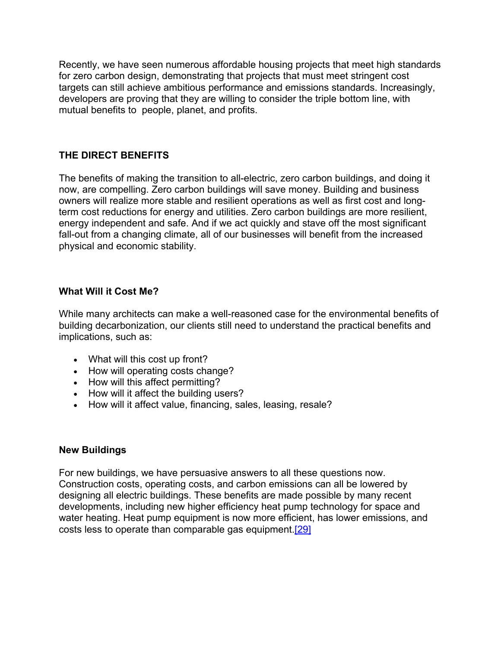Recently, we have seen numerous affordable housing projects that meet high standards for zero carbon design, demonstrating that projects that must meet stringent cost targets can still achieve ambitious performance and emissions standards. Increasingly, developers are proving that they are willing to consider the triple bottom line, with mutual benefits to people, planet, and profits.

# **THE DIRECT BENEFITS**

The benefits of making the transition to all-electric, zero carbon buildings, and doing it now, are compelling. Zero carbon buildings will save money. Building and business owners will realize more stable and resilient operations as well as first cost and longterm cost reductions for energy and utilities. Zero carbon buildings are more resilient, energy independent and safe. And if we act quickly and stave off the most significant fall-out from a changing climate, all of our businesses will benefit from the increased physical and economic stability.

## **What Will it Cost Me?**

While many architects can make a well-reasoned case for the environmental benefits of building decarbonization, our clients still need to understand the practical benefits and implications, such as:

- What will this cost up front?
- How will operating costs change?
- How will this affect permitting?
- How will it affect the building users?
- How will it affect value, financing, sales, leasing, resale?

## **New Buildings**

<span id="page-5-0"></span>For new buildings, we have persuasive answers to all these questions now. Construction costs, operating costs, and carbon emissions can all be lowered by designing all electric buildings. These benefits are made possible by many recent developments, including new higher efficiency heat pump technology for space and water heating. Heat pump equipment is now more efficient, has lower emissions, and costs less to operate than comparable gas equipment[.\[29\]](#page-11-2)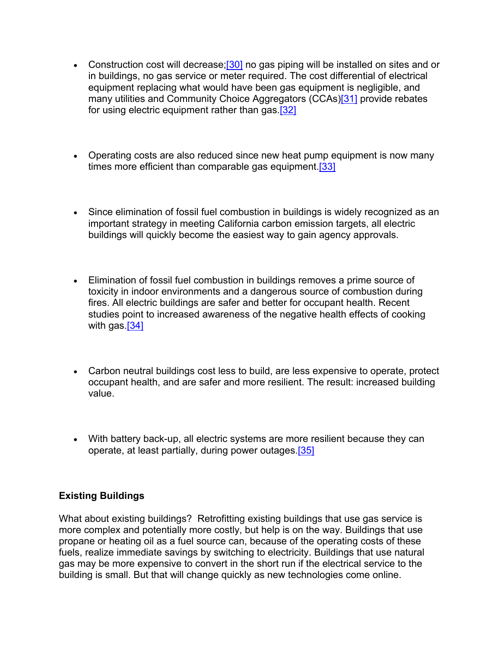- <span id="page-6-2"></span><span id="page-6-1"></span><span id="page-6-0"></span>• Construction cost will decrease; $[30]$  no gas piping will be installed on sites and or in buildings, no gas service or meter required. The cost differential of electrical equipment replacing what would have been gas equipment is negligible, and many utilities and Community Choice Aggregators (CCAs)<sup>[31]</sup> provide rebates for using electric equipment rather than gas.<sup>[32]</sup>
- <span id="page-6-3"></span>• Operating costs are also reduced since new heat pump equipment is now many times more efficient than comparable gas equipment.<sup>[33]</sup>
- Since elimination of fossil fuel combustion in buildings is widely recognized as an important strategy in meeting California carbon emission targets, all electric buildings will quickly become the easiest way to gain agency approvals.
- <span id="page-6-4"></span>• Elimination of fossil fuel combustion in buildings removes a prime source of toxicity in indoor environments and a dangerous source of combustion during fires. All electric buildings are safer and better for occupant health. Recent studies point to increased awareness of the negative health effects of cooking with gas.<sup>[34]</sup>
- Carbon neutral buildings cost less to build, are less expensive to operate, protect occupant health, and are safer and more resilient. The result: increased building value.
- <span id="page-6-5"></span>• With battery back-up, all electric systems are more resilient because they can operate, at least partially, during power outages[.\[35\]](#page-11-8)

# **Existing Buildings**

What about existing buildings? Retrofitting existing buildings that use gas service is more complex and potentially more costly, but help is on the way. Buildings that use propane or heating oil as a fuel source can, because of the operating costs of these fuels, realize immediate savings by switching to electricity. Buildings that use natural gas may be more expensive to convert in the short run if the electrical service to the building is small. But that will change quickly as new technologies come online.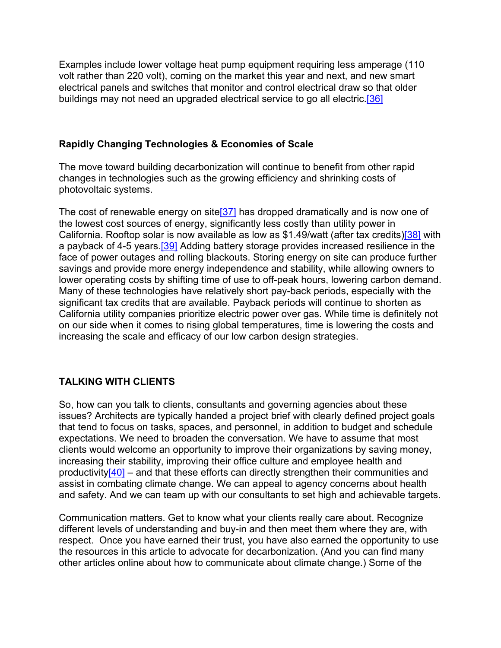<span id="page-7-0"></span>Examples include lower voltage heat pump equipment requiring less amperage (110 volt rather than 220 volt), coming on the market this year and next, and new smart electrical panels and switches that monitor and control electrical draw so that older buildings may not need an upgraded electrical service to go all electric.<sup>[36]</sup>

## **Rapidly Changing Technologies & Economies of Scale**

The move toward building decarbonization will continue to benefit from other rapid changes in technologies such as the growing efficiency and shrinking costs of photovoltaic systems.

<span id="page-7-3"></span><span id="page-7-2"></span><span id="page-7-1"></span>The cost of renewable energy on site<sup>[37]</sup> has dropped dramatically and is now one of the lowest cost sources of energy, significantly less costly than utility power in California. Rooftop solar is now available as low as \$1.49/watt (after tax credits[\)\[38\]](#page-11-11) with a payback of 4-5 years[.\[39\]](#page-12-0) Adding battery storage provides increased resilience in the face of power outages and rolling blackouts. Storing energy on site can produce further savings and provide more energy independence and stability, while allowing owners to lower operating costs by shifting time of use to off-peak hours, lowering carbon demand. Many of these technologies have relatively short pay-back periods, especially with the significant tax credits that are available. Payback periods will continue to shorten as California utility companies prioritize electric power over gas. While time is definitely not on our side when it comes to rising global temperatures, time is lowering the costs and increasing the scale and efficacy of our low carbon design strategies.

# **TALKING WITH CLIENTS**

So, how can you talk to clients, consultants and governing agencies about these issues? Architects are typically handed a project brief with clearly defined project goals that tend to focus on tasks, spaces, and personnel, in addition to budget and schedule expectations. We need to broaden the conversation. We have to assume that most clients would welcome an opportunity to improve their organizations by saving money, increasing their stability, improving their office culture and employee health and productivity $[40]$  – and that these efforts can directly strengthen their communities and assist in combating climate change. We can appeal to agency concerns about health and safety. And we can team up with our consultants to set high and achievable targets.

<span id="page-7-4"></span>Communication matters. Get to know what your clients really care about. Recognize different levels of understanding and buy-in and then meet them where they are, with respect. Once you have earned their trust, you have also earned the opportunity to use the resources in this article to advocate for decarbonization. (And you can find many other articles online about how to communicate about climate change.) Some of the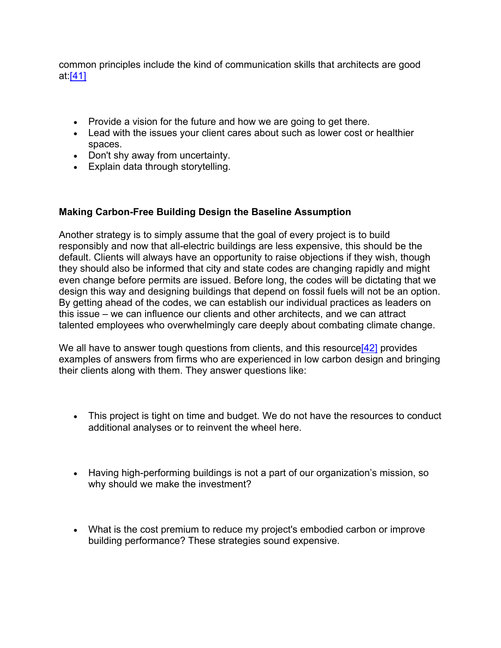<span id="page-8-0"></span>common principles include the kind of communication skills that architects are good at[:\[41\]](#page-12-2)

- Provide a vision for the future and how we are going to get there.
- Lead with the issues your client cares about such as lower cost or healthier spaces.
- Don't shy away from uncertainty.
- Explain data through storytelling.

# **Making Carbon-Free Building Design the Baseline Assumption**

Another strategy is to simply assume that the goal of every project is to build responsibly and now that all-electric buildings are less expensive, this should be the default. Clients will always have an opportunity to raise objections if they wish, though they should also be informed that city and state codes are changing rapidly and might even change before permits are issued. Before long, the codes will be dictating that we design this way and designing buildings that depend on fossil fuels will not be an option. By getting ahead of the codes, we can establish our individual practices as leaders on this issue – we can influence our clients and other architects, and we can attract talented employees who overwhelmingly care deeply about combating climate change.

We all have to answer tough questions from clients, and this resource [42] provides examples of answers from firms who are experienced in low carbon design and bringing their clients along with them. They answer questions like:

- <span id="page-8-1"></span>• This project is tight on time and budget. We do not have the resources to conduct additional analyses or to reinvent the wheel here.
- Having high-performing buildings is not a part of our organization's mission, so why should we make the investment?
- What is the cost premium to reduce my project's embodied carbon or improve building performance? These strategies sound expensive.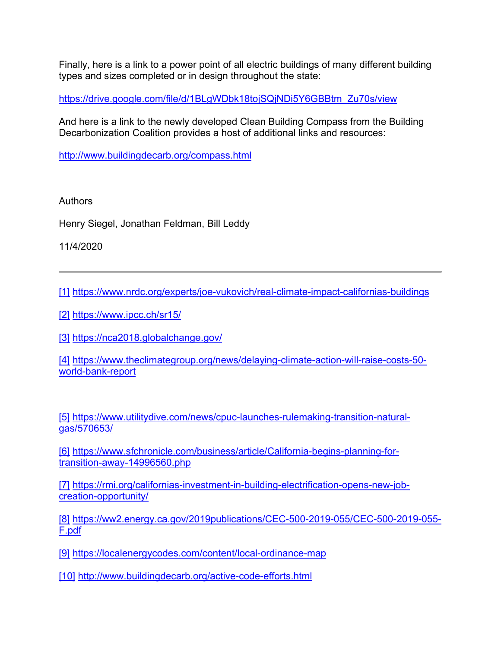Finally, here is a link to a power point of all electric buildings of many different building types and sizes completed or in design throughout the state:

[https://drive.google.com/file/d/1BLgWDbk18tojSQjNDi5Y6GBBtm\\_Zu70s/view](https://drive.google.com/file/d/1BLgWDbk18tojSQjNDi5Y6GBBtm_Zu70s/view)

And here is a link to the newly developed Clean Building Compass from the Building Decarbonization Coalition provides a host of additional links and resources:

<http://www.buildingdecarb.org/compass.html>

Authors

Henry Siegel, Jonathan Feldman, Bill Leddy

11/4/2020

<span id="page-9-0"></span>[\[1\]](#page-0-0) <https://www.nrdc.org/experts/joe-vukovich/real-climate-impact-californias-buildings>

<span id="page-9-1"></span>[\[2\]](#page-0-1) <https://www.ipcc.ch/sr15/>

<span id="page-9-2"></span>[\[3\]](#page-0-2) <https://nca2018.globalchange.gov/>

<span id="page-9-3"></span>[\[4\]](#page-1-0) [https://www.theclimategroup.org/news/delaying-climate-action-will-raise-costs-50](https://www.theclimategroup.org/news/delaying-climate-action-will-raise-costs-50-world-bank-report) [world-bank-report](https://www.theclimategroup.org/news/delaying-climate-action-will-raise-costs-50-world-bank-report)

<span id="page-9-4"></span>[\[5\]](#page-1-1) [https://www.utilitydive.com/news/cpuc-launches-rulemaking-transition-natural](https://www.utilitydive.com/news/cpuc-launches-rulemaking-transition-natural-gas/570653/)[gas/570653/](https://www.utilitydive.com/news/cpuc-launches-rulemaking-transition-natural-gas/570653/)

<span id="page-9-5"></span>[\[6\]](#page-1-2) [https://www.sfchronicle.com/business/article/California-begins-planning-for](https://www.sfchronicle.com/business/article/California-begins-planning-for-transition-away-14996560.php)[transition-away-14996560.php](https://www.sfchronicle.com/business/article/California-begins-planning-for-transition-away-14996560.php)

<span id="page-9-6"></span>[\[7\]](#page-2-0) [https://rmi.org/californias-investment-in-building-electrification-opens-new-job](https://rmi.org/californias-investment-in-building-electrification-opens-new-job-creation-opportunity/)[creation-opportunity/](https://rmi.org/californias-investment-in-building-electrification-opens-new-job-creation-opportunity/)

<span id="page-9-7"></span>[\[8\]](#page-2-1) [https://ww2.energy.ca.gov/2019publications/CEC-500-2019-055/CEC-500-2019-055-](https://ww2.energy.ca.gov/2019publications/CEC-500-2019-055/CEC-500-2019-055-F.pdf) [F.pdf](https://ww2.energy.ca.gov/2019publications/CEC-500-2019-055/CEC-500-2019-055-F.pdf)

<span id="page-9-8"></span>[\[9\]](#page-2-2) <https://localenergycodes.com/content/local-ordinance-map>

<span id="page-9-9"></span>[\[10\]](#page-2-3) <http://www.buildingdecarb.org/active-code-efforts.html>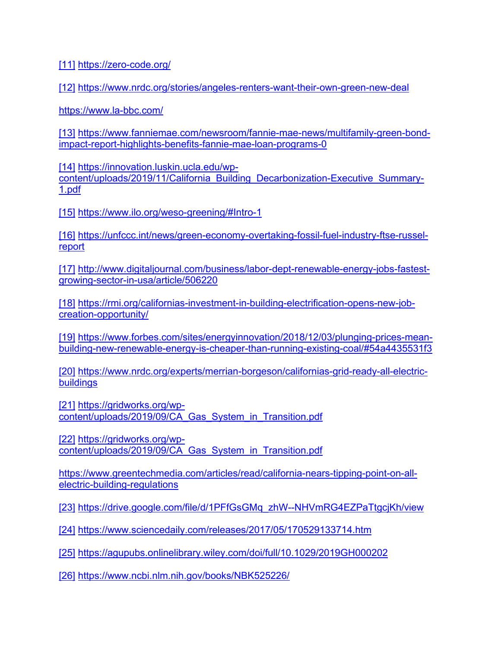<span id="page-10-0"></span>[\[11\]](#page-2-4) <https://zero-code.org/>

<span id="page-10-1"></span>[\[12\]](#page-2-5) <https://www.nrdc.org/stories/angeles-renters-want-their-own-green-new-deal>

<https://www.la-bbc.com/>

<span id="page-10-2"></span>[\[13\]](#page-2-6) [https://www.fanniemae.com/newsroom/fannie-mae-news/multifamily-green-bond](https://www.fanniemae.com/newsroom/fannie-mae-news/multifamily-green-bond-impact-report-highlights-benefits-fannie-mae-loan-programs-0)[impact-report-highlights-benefits-fannie-mae-loan-programs-0](https://www.fanniemae.com/newsroom/fannie-mae-news/multifamily-green-bond-impact-report-highlights-benefits-fannie-mae-loan-programs-0)

<span id="page-10-3"></span>[\[14\]](#page-3-0) [https://innovation.luskin.ucla.edu/wp](https://innovation.luskin.ucla.edu/wp-content/uploads/2019/11/California_Building_Decarbonization-Executive_Summary-1.pdf)[content/uploads/2019/11/California\\_Building\\_Decarbonization-Executive\\_Summary-](https://innovation.luskin.ucla.edu/wp-content/uploads/2019/11/California_Building_Decarbonization-Executive_Summary-1.pdf)[1.pdf](https://innovation.luskin.ucla.edu/wp-content/uploads/2019/11/California_Building_Decarbonization-Executive_Summary-1.pdf)

<span id="page-10-4"></span>[\[15\]](#page-3-1) <https://www.ilo.org/weso-greening/#Intro-1>

<span id="page-10-5"></span>[\[16\]](#page-3-2) [https://unfccc.int/news/green-economy-overtaking-fossil-fuel-industry-ftse-russel](https://unfccc.int/news/green-economy-overtaking-fossil-fuel-industry-ftse-russel-report)**[report](https://unfccc.int/news/green-economy-overtaking-fossil-fuel-industry-ftse-russel-report)** 

<span id="page-10-6"></span>[\[17\]](#page-3-3) [http://www.digitaljournal.com/business/labor-dept-renewable-energy-jobs-fastest](http://www.digitaljournal.com/business/labor-dept-renewable-energy-jobs-fastest-growing-sector-in-usa/article/506220)[growing-sector-in-usa/article/506220](http://www.digitaljournal.com/business/labor-dept-renewable-energy-jobs-fastest-growing-sector-in-usa/article/506220)

<span id="page-10-7"></span>[\[18\]](#page-3-4) [https://rmi.org/californias-investment-in-building-electrification-opens-new-job](https://rmi.org/californias-investment-in-building-electrification-opens-new-job-creation-opportunity/)[creation-opportunity/](https://rmi.org/californias-investment-in-building-electrification-opens-new-job-creation-opportunity/)

<span id="page-10-8"></span>[\[19\]](#page-3-5) [https://www.forbes.com/sites/energyinnovation/2018/12/03/plunging-prices-mean](https://www.forbes.com/sites/energyinnovation/2018/12/03/plunging-prices-mean-building-new-renewable-energy-is-cheaper-than-running-existing-coal/#54a4435531f3)[building-new-renewable-energy-is-cheaper-than-running-existing-coal/#54a4435531f3](https://www.forbes.com/sites/energyinnovation/2018/12/03/plunging-prices-mean-building-new-renewable-energy-is-cheaper-than-running-existing-coal/#54a4435531f3)

<span id="page-10-9"></span>[\[20\]](#page-3-6) [https://www.nrdc.org/experts/merrian-borgeson/californias-grid-ready-all-electric](https://www.nrdc.org/experts/merrian-borgeson/californias-grid-ready-all-electric-buildings)[buildings](https://www.nrdc.org/experts/merrian-borgeson/californias-grid-ready-all-electric-buildings)

<span id="page-10-10"></span>[\[21\]](#page-4-0) [https://gridworks.org/wp](https://gridworks.org/wp-content/uploads/2019/09/CA_Gas_System_in_Transition.pdf)[content/uploads/2019/09/CA\\_Gas\\_System\\_in\\_Transition.pdf](https://gridworks.org/wp-content/uploads/2019/09/CA_Gas_System_in_Transition.pdf)

<span id="page-10-11"></span>[\[22\]](#page-4-1) [https://gridworks.org/wp](https://gridworks.org/wp-content/uploads/2019/09/CA_Gas_System_in_Transition.pdf)[content/uploads/2019/09/CA\\_Gas\\_System\\_in\\_Transition.pdf](https://gridworks.org/wp-content/uploads/2019/09/CA_Gas_System_in_Transition.pdf)

[https://www.greentechmedia.com/articles/read/california-nears-tipping-point-on-all](https://www.greentechmedia.com/articles/read/california-nears-tipping-point-on-all-electric-building-regulations)[electric-building-regulations](https://www.greentechmedia.com/articles/read/california-nears-tipping-point-on-all-electric-building-regulations)

<span id="page-10-12"></span>[\[23\]](#page-4-2) [https://drive.google.com/file/d/1PFfGsGMq\\_zhW--NHVmRG4EZPaTtgcjKh/view](https://drive.google.com/file/d/1PFfGsGMq_zhW--NHVmRG4EZPaTtgcjKh/view)

<span id="page-10-13"></span>[\[24\]](#page-4-3) <https://www.sciencedaily.com/releases/2017/05/170529133714.htm>

<span id="page-10-14"></span>[\[25\]](#page-4-4) <https://agupubs.onlinelibrary.wiley.com/doi/full/10.1029/2019GH000202>

<span id="page-10-15"></span>[\[26\]](#page-4-5) <https://www.ncbi.nlm.nih.gov/books/NBK525226/>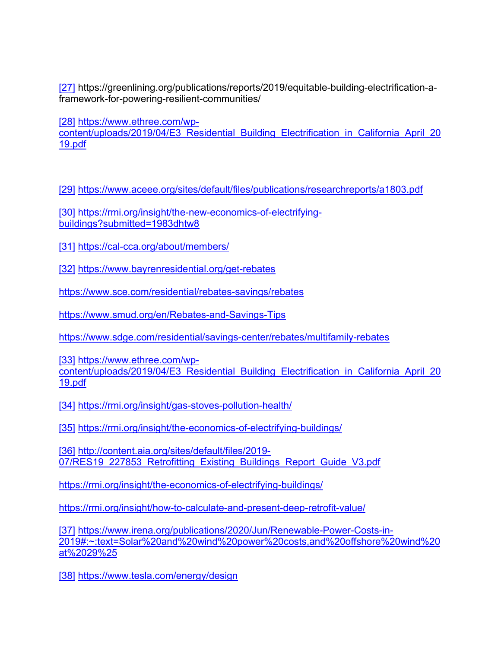<span id="page-11-0"></span>[\[27\]](#page-4-6) https://greenlining.org/publications/reports/2019/equitable-building-electrification-aframework-for-powering-resilient-communities/

<span id="page-11-1"></span>[\[28\]](#page-4-7) [https://www.ethree.com/wp-](https://www.ethree.com/wp-content/uploads/2019/04/E3_Residential_Building_Electrification_in_California_April_2019.pdf)

[content/uploads/2019/04/E3\\_Residential\\_Building\\_Electrification\\_in\\_California\\_April\\_20](https://www.ethree.com/wp-content/uploads/2019/04/E3_Residential_Building_Electrification_in_California_April_2019.pdf) [19.pdf](https://www.ethree.com/wp-content/uploads/2019/04/E3_Residential_Building_Electrification_in_California_April_2019.pdf)

<span id="page-11-2"></span>[\[29\]](#page-5-0) <https://www.aceee.org/sites/default/files/publications/researchreports/a1803.pdf>

<span id="page-11-3"></span>[\[30\]](#page-6-0) [https://rmi.org/insight/the-new-economics-of-electrifying](https://rmi.org/insight/the-new-economics-of-electrifying-buildings?submitted=1983dhtw8)[buildings?submitted=1983dhtw8](https://rmi.org/insight/the-new-economics-of-electrifying-buildings?submitted=1983dhtw8)

<span id="page-11-4"></span>[\[31\]](#page-6-1) <https://cal-cca.org/about/members/>

<span id="page-11-5"></span>[\[32\]](#page-6-2) <https://www.bayrenresidential.org/get-rebates>

<https://www.sce.com/residential/rebates-savings/rebates>

<https://www.smud.org/en/Rebates-and-Savings-Tips>

<https://www.sdge.com/residential/savings-center/rebates/multifamily-rebates>

<span id="page-11-6"></span>[\[33\]](#page-6-3) [https://www.ethree.com/wp](https://www.ethree.com/wp-content/uploads/2019/04/E3_Residential_Building_Electrification_in_California_April_2019.pdf)content/uploads/2019/04/E3 Residential Building Electrification in California April 20 [19.pdf](https://www.ethree.com/wp-content/uploads/2019/04/E3_Residential_Building_Electrification_in_California_April_2019.pdf)

<span id="page-11-7"></span>[\[34\]](#page-6-4) <https://rmi.org/insight/gas-stoves-pollution-health/>

<span id="page-11-8"></span>[\[35\]](#page-6-5) <https://rmi.org/insight/the-economics-of-electrifying-buildings/>

<span id="page-11-9"></span>[\[36\]](#page-7-0) [http://content.aia.org/sites/default/files/2019-](http://content.aia.org/sites/default/files/2019-07/RES19_227853_Retrofitting_Existing_Buildings_Report_Guide_V3.pdf) 07/RES19 227853 Retrofitting Existing Buildings Report Guide V3.pdf

<https://rmi.org/insight/the-economics-of-electrifying-buildings/>

<https://rmi.org/insight/how-to-calculate-and-present-deep-retrofit-value/>

<span id="page-11-10"></span>[\[37\]](#page-7-1) [https://www.irena.org/publications/2020/Jun/Renewable-Power-Costs-in-](https://www.irena.org/publications/2020/Jun/Renewable-Power-Costs-in-2019#:%7E:text=Solar%20and%20wind%20power%20costs,and%20offshore%20wind%20at%2029%25)[2019#:~:text=Solar%20and%20wind%20power%20costs,and%20offshore%20wind%20](https://www.irena.org/publications/2020/Jun/Renewable-Power-Costs-in-2019#:%7E:text=Solar%20and%20wind%20power%20costs,and%20offshore%20wind%20at%2029%25) [at%2029%25](https://www.irena.org/publications/2020/Jun/Renewable-Power-Costs-in-2019#:%7E:text=Solar%20and%20wind%20power%20costs,and%20offshore%20wind%20at%2029%25)

<span id="page-11-11"></span>[\[38\]](#page-7-2) <https://www.tesla.com/energy/design>